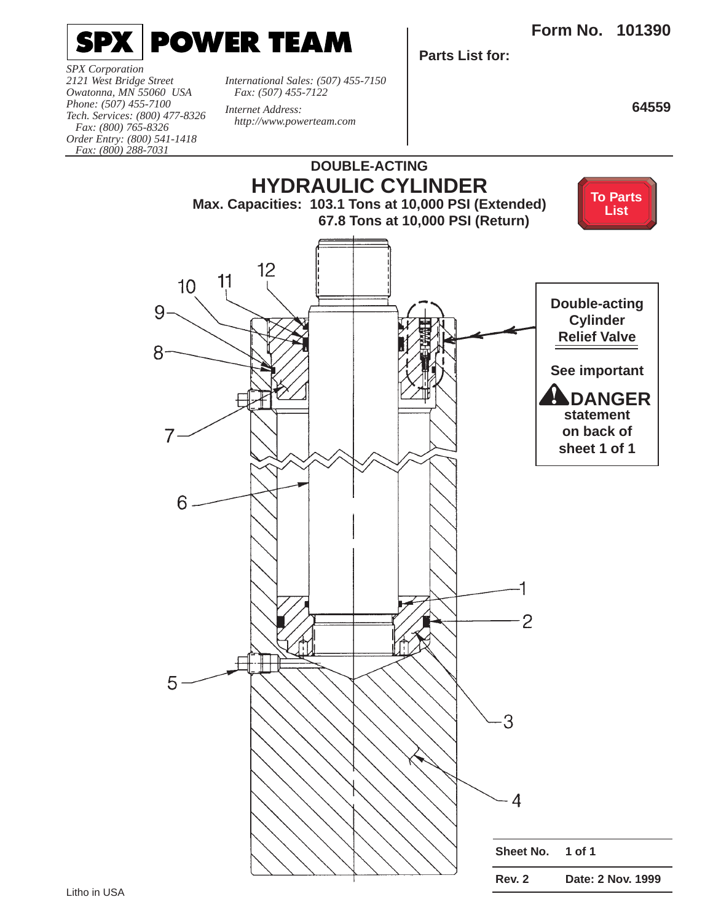**Form No. 101390**

<span id="page-0-0"></span>

**Parts List for:**

**64559**

*SPX Corporation 2121 West Bridge Street Owatonna, MN 55060 USA Phone: (507) 455-7100 Tech. Services: (800) 477-8326 Fax: (800) 765-8326 Order Entry: (800) 541-1418 Fax: (800) 288-7031*

*International Sales: (507) 455-7150 Fax: (507) 455-7122*

*Internet Address: http://www.powerteam.com*